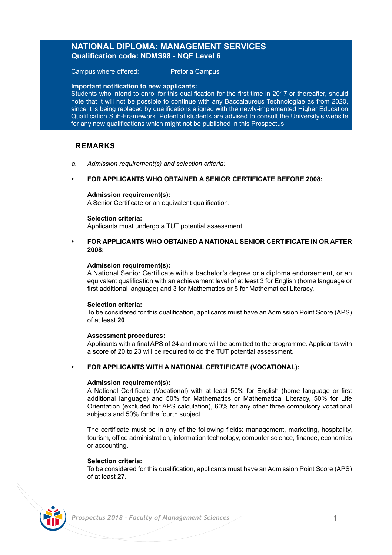# **NATIONAL DIPLOMA: MANAGEMENT SERVICES Qualification code: NDMS98 - NQF Level 6**

Campus where offered: Pretoria Campus

### **Important notification to new applicants:**

Students who intend to enrol for this qualification for the first time in 2017 or thereafter, should note that it will not be possible to continue with any Baccalaureus Technologiae as from 2020, since it is being replaced by qualifications aligned with the newly-implemented Higher Education Qualification Sub-Framework. Potential students are advised to consult the University's website for any new qualifications which might not be published in this Prospectus.

# **REMARKS**

*a. Admission requirement(s) and selection criteria:*

### **• FOR APPLICANTS WHO OBTAINED A SENIOR CERTIFICATE BEFORE 2008:**

### **Admission requirement(s):**

A Senior Certificate or an equivalent qualification.

#### **Selection criteria:**

Applicants must undergo a TUT potential assessment.

**• FOR APPLICANTS WHO OBTAINED A NATIONAL SENIOR CERTIFICATE IN OR AFTER 2008:**

### **Admission requirement(s):**

A National Senior Certificate with a bachelor's degree or a diploma endorsement, or an equivalent qualification with an achievement level of at least 3 for English (home language or first additional language) and 3 for Mathematics or 5 for Mathematical Literacy.

### **Selection criteria:**

To be considered for this qualification, applicants must have an Admission Point Score (APS) of at least **20**.

### **Assessment procedures:**

Applicants with a final APS of 24 and more will be admitted to the programme. Applicants with a score of 20 to 23 will be required to do the TUT potential assessment.

### **• FOR APPLICANTS WITH A NATIONAL CERTIFICATE (VOCATIONAL):**

#### **Admission requirement(s):**

A National Certificate (Vocational) with at least 50% for English (home language or first additional language) and 50% for Mathematics or Mathematical Literacy, 50% for Life Orientation (excluded for APS calculation), 60% for any other three compulsory vocational subjects and 50% for the fourth subject.

The certificate must be in any of the following fields: management, marketing, hospitality, tourism, office administration, information technology, computer science, finance, economics or accounting.

#### **Selection criteria:**

To be considered for this qualification, applicants must have an Admission Point Score (APS) of at least **27**.

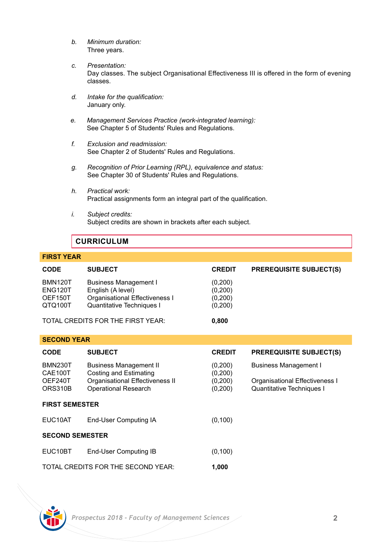- *b. Minimum duration:* Three years.
- *c. Presentation:* Day classes. The subject Organisational Effectiveness III is offered in the form of evening classes.
- *d. Intake for the qualification:* January only.
- *e. Management Services Practice (work-integrated learning):* See Chapter 5 of Students' Rules and Regulations.
- *f. Exclusion and readmission:* See Chapter 2 of Students' Rules and Regulations.
- *g. Recognition of Prior Learning (RPL), equivalence and status:* See Chapter 30 of Students' Rules and Regulations.
- *h. Practical work:* Practical assignments form an integral part of the qualification.
- *i. Subject credits:* Subject credits are shown in brackets after each subject.

# **CURRICULUM**

# **FIRST YEAR**

| <b>CODE</b>    | <b>SUBJECT</b>                    | <b>CREDIT</b> | <b>PREREQUISITE SUBJECT(S)</b> |
|----------------|-----------------------------------|---------------|--------------------------------|
| <b>BMN120T</b> | <b>Business Management I</b>      | (0,200)       |                                |
| ENG120T        | English (A level)                 | (0,200)       |                                |
| OEF150T        | Organisational Effectiveness I    | (0,200)       |                                |
| QTQ100T        | Quantitative Techniques I         | (0,200)       |                                |
|                | TOTAL CREDITS FOR THE FIRST YEAR: | 0.800         |                                |

| <b>SECOND YEAR</b>        |                                                                |                      |                                                                    |  |  |  |
|---------------------------|----------------------------------------------------------------|----------------------|--------------------------------------------------------------------|--|--|--|
| CODE                      | <b>SUBJECT</b>                                                 | <b>CREDIT</b>        | <b>PREREQUISITE SUBJECT(S)</b>                                     |  |  |  |
| <b>BMN230T</b><br>CAE100T | <b>Business Management II</b><br>Costing and Estimating        | (0, 200)<br>(0, 200) | <b>Business Management I</b>                                       |  |  |  |
| OEF240T<br>ORS310B        | Organisational Effectiveness II<br><b>Operational Research</b> | (0,200)<br>(0, 200)  | Organisational Effectiveness I<br><b>Quantitative Techniques I</b> |  |  |  |
| <b>FIRST SEMESTER</b>     |                                                                |                      |                                                                    |  |  |  |
| EUC10AT                   | End-User Computing IA                                          | (0, 100)             |                                                                    |  |  |  |
| <b>SECOND SEMESTER</b>    |                                                                |                      |                                                                    |  |  |  |
| EUC10BT                   | End-User Computing IB                                          | (0, 100)             |                                                                    |  |  |  |
|                           | TOTAL CREDITS FOR THE SECOND YEAR:                             | 1.000                |                                                                    |  |  |  |

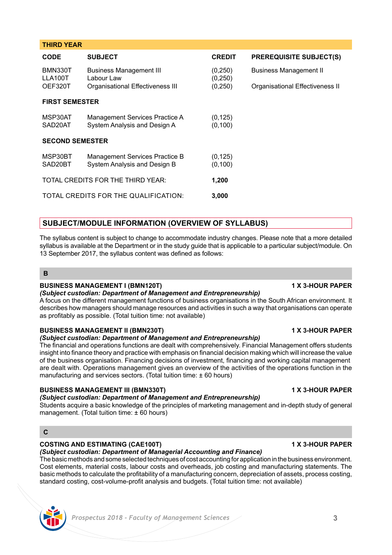| CODE                              | <b>SUBJECT</b>                                                 | <b>CREDIT</b>        | <b>PREREQUISITE SUBJECT(S)</b>  |  |  |
|-----------------------------------|----------------------------------------------------------------|----------------------|---------------------------------|--|--|
| <b>BMN330T</b><br>LLA100T         | <b>Business Management III</b><br>Labour Law                   | (0,250)<br>(0, 250)  | <b>Business Management II</b>   |  |  |
| OEF320T                           | Organisational Effectiveness III                               | (0, 250)             | Organisational Effectiveness II |  |  |
| <b>FIRST SEMESTER</b>             |                                                                |                      |                                 |  |  |
| MSP30AT                           | Management Services Practice A                                 | (0, 125)             |                                 |  |  |
| SAD20AT                           | System Analysis and Design A                                   | (0, 100)             |                                 |  |  |
| <b>SECOND SEMESTER</b>            |                                                                |                      |                                 |  |  |
| MSP30BT<br>SAD20BT                | Management Services Practice B<br>System Analysis and Design B | (0, 125)<br>(0, 100) |                                 |  |  |
|                                   |                                                                |                      |                                 |  |  |
| TOTAL CREDITS FOR THE THIRD YEAR: |                                                                | 1,200                |                                 |  |  |
|                                   | TOTAL CREDITS FOR THE QUALIFICATION:                           | 3.000                |                                 |  |  |

# **SUBJECT/MODULE INFORMATION (OVERVIEW OF SYLLABUS)**

The syllabus content is subject to change to accommodate industry changes. Please note that a more detailed syllabus is available at the Department or in the study guide that is applicable to a particular subject/module. On 13 September 2017, the syllabus content was defined as follows:

### **B**

**THIRD YEAR**

### **BUSINESS MANAGEMENT I (BMN120T) 1 X 3-HOUR PAPER**

# *(Subject custodian: Department of Management and Entrepreneurship)*

A focus on the different management functions of business organisations in the South African environment. It describes how managers should manage resources and activities in such a way that organisations can operate as profitably as possible. (Total tuition time: not available)

# **BUSINESS MANAGEMENT II (BMN230T) 1 X 3-HOUR PAPER**

### *(Subject custodian: Department of Management and Entrepreneurship)*

The financial and operations functions are dealt with comprehensively. Financial Management offers students insight into finance theory and practice with emphasis on financial decision making which will increase the value of the business organisation. Financing decisions of investment, financing and working capital management are dealt with. Operations management gives an overview of the activities of the operations function in the manufacturing and services sectors. (Total tuition time: ± 60 hours)

## **BUSINESS MANAGEMENT III (BMN330T) 1 X 3-HOUR PAPER**

# *(Subject custodian: Department of Management and Entrepreneurship)*

Students acquire a basic knowledge of the principles of marketing management and in-depth study of general management. (Total tuition time: ± 60 hours)

# **C**

## **COSTING AND ESTIMATING (CAE100T) 1 X 3-HOUR PAPER**

*(Subject custodian: Department of Managerial Accounting and Finance)*

The basic methods and some selected techniques of cost accounting for application in the business environment. Cost elements, material costs, labour costs and overheads, job costing and manufacturing statements. The basic methods to calculate the profitability of a manufacturing concern, depreciation of assets, process costing, standard costing, cost-volume-profit analysis and budgets. (Total tuition time: not available)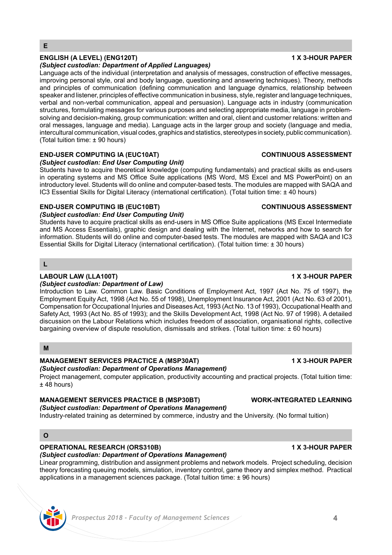# **ENGLISH (A LEVEL) (ENG120T) 1 X 3-HOUR PAPER**

## *(Subject custodian: Department of Applied Languages)*

Language acts of the individual (interpretation and analysis of messages, construction of effective messages, improving personal style, oral and body language, questioning and answering techniques). Theory, methods and principles of communication (defining communication and language dynamics, relationship between speaker and listener, principles of effective communication in business, style, register and language techniques, verbal and non-verbal communication, appeal and persuasion). Language acts in industry (communication structures, formulating messages for various purposes and selecting appropriate media, language in problemsolving and decision-making, group communication: written and oral, client and customer relations: written and oral messages, language and media). Language acts in the larger group and society (language and media, intercultural communication, visual codes, graphics and statistics, stereotypes in society, public communication). (Total tuition time: ± 90 hours)

# **END-USER COMPUTING IA (EUC10AT) CONTINUOUS ASSESSMENT**

*(Subject custodian: End User Computing Unit)*

Students have to acquire theoretical knowledge (computing fundamentals) and practical skills as end-users in operating systems and MS Office Suite applications (MS Word, MS Excel and MS PowerPoint) on an introductory level. Students will do online and computer-based tests. The modules are mapped with SAQA and IC3 Essential Skills for Digital Literacy (international certification). (Total tuition time: ± 40 hours)

# **END-USER COMPUTING IB (EUC10BT) CONTINUOUS ASSESSMENT**

### *(Subject custodian: End User Computing Unit)*

Students have to acquire practical skills as end-users in MS Office Suite applications (MS Excel Intermediate and MS Access Essentials), graphic design and dealing with the Internet, networks and how to search for information. Students will do online and computer-based tests. The modules are mapped with SAQA and IC3 Essential Skills for Digital Literacy (international certification). (Total tuition time: ± 30 hours)

**L**

# **LABOUR LAW (LLA100T) 1 X 3-HOUR PAPER**

## *(Subject custodian: Department of Law)*

Introduction to Law. Common Law. Basic Conditions of Employment Act, 1997 (Act No. 75 of 1997), the Employment Equity Act, 1998 (Act No. 55 of 1998), Unemployment Insurance Act, 2001 (Act No. 63 of 2001), Compensation for Occupational Injuries and Diseases Act, 1993 (Act No. 13 of 1993), Occupational Health and Safety Act, 1993 (Act No. 85 of 1993); and the Skills Development Act, 1998 (Act No. 97 of 1998). A detailed discussion on the Labour Relations which includes freedom of association, organisational rights, collective bargaining overview of dispute resolution, dismissals and strikes. (Total tuition time: ± 60 hours)

# **M**

# **MANAGEMENT SERVICES PRACTICE A (MSP30AT) 1 X 3-HOUR PAPER**

# *(Subject custodian: Department of Operations Management)*

Project management, computer application, productivity accounting and practical projects. (Total tuition time:  $±$  48 hours)

## **MANAGEMENT SERVICES PRACTICE B (MSP30BT) WORK-INTEGRATED LEARNING**

*(Subject custodian: Department of Operations Management)*

Industry-related training as determined by commerce, industry and the University. (No formal tuition)

# **O**

# **OPERATIONAL RESEARCH (ORS310B) 1 X 3-HOUR PAPER**

*(Subject custodian: Department of Operations Management)*

Linear programming, distribution and assignment problems and network models. Project scheduling, decision theory forecasting queuing models, simulation, inventory control, game theory and simplex method. Practical applications in a management sciences package. (Total tuition time: ± 96 hours)

# *Prospectus 2018 - Faculty of Management Sciences* **4**